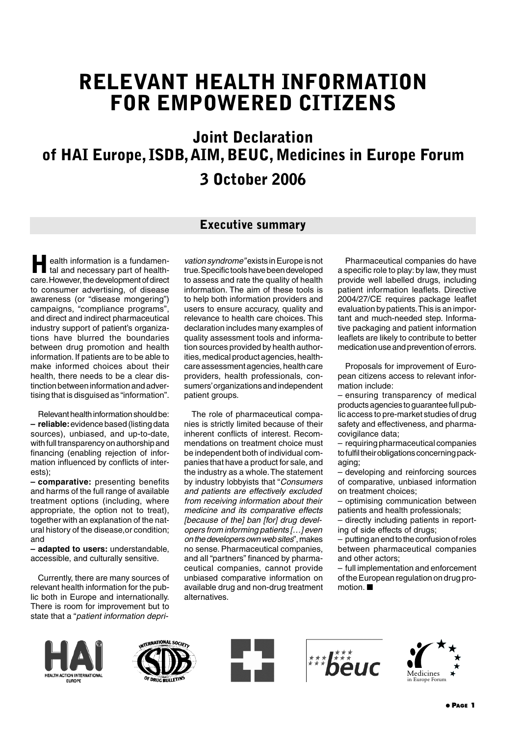# **RELEVANT HEALTH INFORMATION FOR EMPOWERED CITIZENS**

**Joint Declaration of HAI Europe, ISDB,AIM, BEUC, Medicines in Europe Forum**

# **3 October 2006**

### **Executive summary**

**Health information is a fundamental and necessary part of health**care.However, the development of direct to consumer advertising, of disease awareness (or "disease mongering") campaigns, "compliance programs", and direct and indirect pharmaceutical industry support of patient's organizations have blurred the boundaries between drug promotion and health information. If patients are to be able to make informed choices about their health, there needs to be a clear distinction between information and advertising that is disguised as "information".

Relevant health information should be: **– reliable:**evidence based (listing data sources), unbiased, and up-to-date, with full transparency on authorship and financing (enabling rejection of information influenced by conflicts of interests);

**– comparative:** presenting benefits and harms of the full range of available treatment options (including, where appropriate, the option not to treat), together with an explanation of the natural history of the disease,or condition; and

**– adapted to users:** understandable, accessible, and culturally sensitive.

Currently, there are many sources of relevant health information for the public both in Europe and internationally. There is room for improvement but to state that a "*patient information depri-* *vation syndrome"*exists in Europe is not true.Specific tools have been developed to assess and rate the quality of health information. The aim of these tools is to help both information providers and users to ensure accuracy, quality and relevance to health care choices. This declaration includes many examples of quality assessment tools and information sources provided by health authorities, medical product agencies, healthcare assessment agencies, health care providers, health professionals, consumers'organizations and independent patient groups.

The role of pharmaceutical companies is strictly limited because of their inherent conflicts of interest. Recommendations on treatment choice must be independent both of individual companies that have a product for sale, and the industry as a whole.The statement by industry lobbyists that "*Consumers and patients are effectively excluded from receiving information about their medicine and its comparative effects [because of the] ban [for] drug developers from informing patients […] even on the developers own web sites*", makes no sense. Pharmaceutical companies, and all "partners" financed by pharmaceutical companies, cannot provide unbiased comparative information on available drug and non-drug treatment alternatives.

Pharmaceutical companies do have a specific role to play: by law, they must provide well labelled drugs, including patient information leaflets. Directive 2004/27/CE requires package leaflet evaluation by patients.This is an important and much-needed step. Informative packaging and patient information leaflets are likely to contribute to better medication use and prevention of errors.

Proposals for improvement of European citizens access to relevant information include:

– ensuring transparency of medical products agencies to guarantee full public access to pre-market studies of drug safety and effectiveness, and pharmacovigilance data;

– requiring pharmaceutical companies to fulfil their obligations concerning packaging;

– developing and reinforcing sources of comparative, unbiased information on treatment choices;

– optimising communication between patients and health professionals;

– directly including patients in reporting of side effects of drugs;

– putting an end to the confusion of roles between pharmaceutical companies and other actors;

– full implementation and enforcement of the European regulation on drug promotion. ■









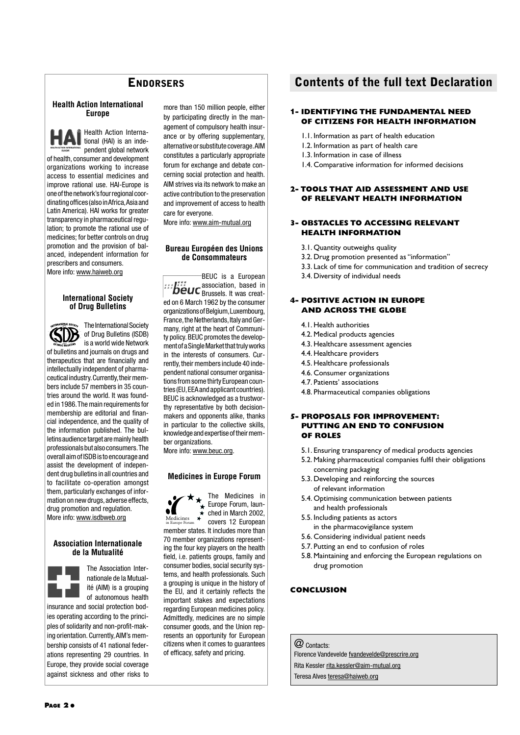#### **Health Action International Europe**



Health Action International (HAI) is an independent global network

of health, consumer and development organizations working to increase access to essential medicines and improve rational use. HAI-Europe is one of the network's four regional coordinating offices (also in Africa,Asia and Latin America). HAI works for greater transparency in pharmaceutical regulation; to promote the rational use of medicines; for better controls on drug promotion and the provision of balanced, independent information for prescribers and consumers. More info: www.haiweb.org

#### **International Society of Drug Bulletins**



The International Society of Drug Bulletins (ISDB) is a world wide Network

of bulletins and journals on drugs and therapeutics that are financially and intellectually independent of pharmaceutical industry. Currently, their members include 57 members in 35 countries around the world. It was founded in 1986.The main requirements for membership are editorial and financial independence, and the quality of the information published. The bulletins audience target are mainly health professionals but also consumers.The overall aim of ISDB is to encourage and assist the development of independent drug bulletins in all countries and to facilitate co-operation amongst them, particularly exchanges of information on new drugs, adverse effects. drug promotion and regulation. More info: www.isdbweb.org

#### **Association Internationale de la Mutualité**



The Association Internationale de la Mutualité (AIM) is a grouping of autonomous health

insurance and social protection bodies operating according to the principles of solidarity and non-profit-making orientation. Currently,AIM's membership consists of 41 national federations representing 29 countries. In Europe, they provide social coverage against sickness and other risks to more than 150 million people, either by participating directly in the management of compulsory health insurance or by offering supplementary, alternative or substitute coverage.AIM constitutes a particularly appropriate forum for exchange and debate concerning social protection and health. AIM strives via its network to make an active contribution to the preservation and improvement of access to health care for everyone.

More info: www.aim-mutual.org

#### **Bureau Européen des Unions de Consommateurs**

BEUC is a European association, based in Brussels. It was created on 6 March 1962 by the consumer organizations of Belgium,Luxembourg, France, the Netherlands, Italy and Germany, right at the heart of Community policy. BEUC promotes the development of a Single Market that truly works in the interests of consumers. Currently, their members include 40 independent national consumer organisations from some thirty European countries (EU,EEA and applicant countries). BEUC is acknowledged as a trustworthy representative by both decisionmakers and opponents alike, thanks in particular to the collective skills, knowledge and expertise of their member organizations. More info: www.beuc.org.

#### **Medicines in Europe Forum**



The Medicines in Europe Forum, laun- $\star$  ched in March 2002, covers 12 European

member states. It includes more than 70 member organizations representing the four key players on the health field, i.e. patients groups, family and consumer bodies, social security systems, and health professionals. Such a grouping is unique in the history of the EU, and it certainly reflects the important stakes and expectations regarding European medicines policy. Admittedly, medicines are no simple consumer goods, and the Union represents an opportunity for European citizens when it comes to guarantees of efficacy, safety and pricing.

### **ENDORSERS Contents of the full text Declaration**

#### **1- IDENTIFYING THE FUNDAMENTAL NEED OF CITIZENS FOR HEALTH INFORMATION**

- 1.1. Information as part of health education
- 1.2. Information as part of health care
- 1.3. Information in case of illness
- 1.4. Comparative information for informed decisions

#### **2- TOOLS THAT AID ASSESSMENT AND USE OF RELEVANT HEALTH INFORMATION**

#### **3- OBSTACLES TO ACCESSING RELEVANT HEALTH INFORMATION**

- 3.1. Quantity outweighs quality
- 3.2. Drug promotion presented as "information"
- 3.3. Lack of time for communication and tradition of secrecy
- 3.4. Diversity of individual needs

#### **4- POSITIVE ACTION IN EUROPE AND ACROSS THE GLOBE**

- 4.1. Health authorities
- 4.2. Medical products agencies
- 4.3. Healthcare assessment agencies
- 4.4. Healthcare providers
- 4.5. Healthcare professionals
- 4.6. Consumer organizations
- 4.7. Patients' associations
- 4.8. Pharmaceutical companies obligations

#### **5- PROPOSALS FOR IMPROVEMENT: PUTTING AN END TO CONFUSION OF ROLES**

- 5.1. Ensuring transparency of medical products agencies
- 5.2. Making pharmaceutical companies fulfil their obligations concerning packaging
- 5.3. Developing and reinforcing the sources of relevant information
- 5.4. Optimising communication between patients and health professionals
- 5.5. Including patients as actors in the pharmacovigilance system
- 5.6. Considering individual patient needs
- 5.7. Putting an end to confusion of roles
- 5.8. Maintaining and enforcing the European regulations on drug promotion

### **CONCLUSION**

@ Contacts: Florence Vandevelde fvandevelde@prescrire.org Rita Kessler rita.kessler@aim-mutual.org

Teresa Alves teresa@haiweb.org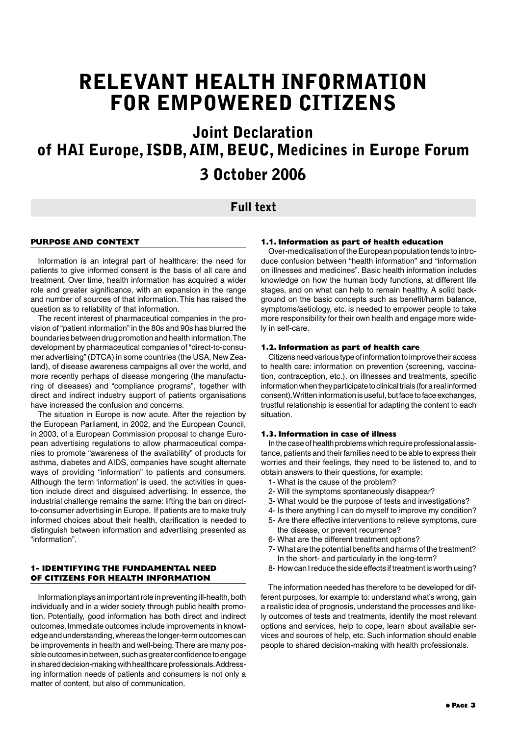# **RELEVANT HEALTH INFORMATION FOR EMPOWERED CITIZENS**

# **Joint Declaration of HAI Europe, ISDB,AIM, BEUC, Medicines in Europe Forum 3 October 2006**

### **Full text**

#### **PURPOSE AND CONTEXT**

Information is an integral part of healthcare: the need for patients to give informed consent is the basis of all care and treatment. Over time, health information has acquired a wider role and greater significance, with an expansion in the range and number of sources of that information. This has raised the question as to reliability of that information.

The recent interest of pharmaceutical companies in the provision of "patient information" in the 80s and 90s has blurred the boundaries between drug promotion and health information.The development by pharmaceutical companies of "direct-to-consumer advertising"(DTCA) in some countries (the USA, New Zealand), of disease awareness campaigns all over the world, and more recently perhaps of disease mongering (the manufacturing of diseases) and "compliance programs", together with direct and indirect industry support of patients organisations have increased the confusion and concerns.

The situation in Europe is now acute. After the rejection by the European Parliament, in 2002, and the European Council, in 2003, of a European Commission proposal to change European advertising regulations to allow pharmaceutical companies to promote "awareness of the availability" of products for asthma, diabetes and AIDS, companies have sought alternate ways of providing "information" to patients and consumers. Although the term 'information' is used, the activities in question include direct and disguised advertising. In essence, the industrial challenge remains the same: lifting the ban on directto-consumer advertising in Europe. If patients are to make truly informed choices about their health, clarification is needed to distinguish between information and advertising presented as "information".

### **1- IDENTIFYING THE FUNDAMENTAL NEED OF CITIZENS FOR HEALTH INFORMATION**

Information plays an important role in preventing ill-health, both individually and in a wider society through public health promotion. Potentially, good information has both direct and indirect outcomes.Immediate outcomes include improvements in knowledge and understanding, whereas the longer-term outcomes can be improvements in health and well-being.There are many possible outcomes in between, such as greater confidence to engage in shared decision-making with healthcare professionals.Addressing information needs of patients and consumers is not only a matter of content, but also of communication.

#### **1.1. Information as part of health education**

Over-medicalisation of the European population tends to introduce confusion between "health information" and "information on illnesses and medicines". Basic health information includes knowledge on how the human body functions, at different life stages, and on what can help to remain healthy. A solid background on the basic concepts such as benefit/harm balance, symptoms/aetiology, etc. is needed to empower people to take more responsibility for their own health and engage more widely in self-care.

#### **1.2. Information as part of health care**

Citizens need various type of information to improve their access to health care: information on prevention (screening, vaccination, contraception, etc.), on illnesses and treatments, specific information when they participate to clinical trials (for a real informed consent). Written information is useful, but face to face exchanges, trustful relationship is essential for adapting the content to each situation.

#### **1.3. Information in case of illness**

In the case of health problems which require professional assistance, patients and their families need to be able to express their worries and their feelings, they need to be listened to, and to obtain answers to their questions, for example:

- 1- What is the cause of the problem?
- 2- Will the symptoms spontaneously disappear?
- 3- What would be the purpose of tests and investigations?
- 4- Is there anything I can do myself to improve my condition?
- 5- Are there effective interventions to relieve symptoms, cure
- the disease, or prevent recurrence?
- 6- What are the different treatment options?
- 7- What are the potential benefits and harms of the treatment? In the short- and particularly in the long-term?
- 8- How can I reduce the side effects if treatment is worth using?

The information needed has therefore to be developed for different purposes, for example to: understand what's wrong, gain a realistic idea of prognosis, understand the processes and likely outcomes of tests and treatments, identify the most relevant options and services, help to cope, learn about available services and sources of help, etc. Such information should enable people to shared decision-making with health professionals.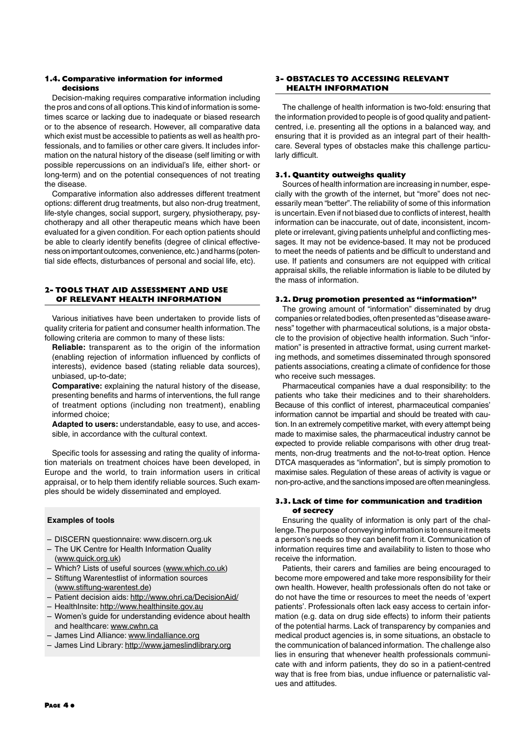#### **1.4. Comparative information for informed decisions**

Decision-making requires comparative information including the pros and cons of all options.This kind of information is sometimes scarce or lacking due to inadequate or biased research or to the absence of research. However, all comparative data which exist must be accessible to patients as well as health professionals, and to families or other care givers. It includes information on the natural history of the disease (self limiting or with possible repercussions on an individual's life, either short- or long-term) and on the potential consequences of not treating the disease.

Comparative information also addresses different treatment options: different drug treatments, but also non-drug treatment, life-style changes, social support, surgery, physiotherapy, psychotherapy and all other therapeutic means which have been evaluated for a given condition. For each option patients should be able to clearly identify benefits (degree of clinical effectiveness on important outcomes, convenience, etc.) and harms (potential side effects, disturbances of personal and social life, etc).

#### **2- TOOLS THAT AID ASSESSMENT AND USE OF RELEVANT HEALTH INFORMATION**

Various initiatives have been undertaken to provide lists of quality criteria for patient and consumer health information.The following criteria are common to many of these lists:

**Reliable:** transparent as to the origin of the information (enabling rejection of information influenced by conflicts of interests), evidence based (stating reliable data sources), unbiased, up-to-date;

**Comparative:** explaining the natural history of the disease, presenting benefits and harms of interventions, the full range of treatment options (including non treatment), enabling informed choice;

**Adapted to users:** understandable, easy to use, and accessible, in accordance with the cultural context.

Specific tools for assessing and rating the quality of information materials on treatment choices have been developed, in Europe and the world, to train information users in critical appraisal, or to help them identify reliable sources. Such examples should be widely disseminated and employed.

#### **Examples of tools**

- DISCERN questionnaire: www.discern.org.uk
- The UK Centre for Health Information Quality (www.quick.org.uk)
- Which? Lists of useful sources (www.which.co.uk)
- Stiftung Warentestlist of information sources (www.stiftung-warentest.de)
- Patient decision aids: http://www.ohri.ca/DecisionAid/
- HealthInsite: http://www.healthinsite.gov.au
- Women's guide for understanding evidence about health and healthcare: www.cwhn.ca
- James Lind Alliance: www.lindalliance.org
- James Lind Library: http://www.jameslindlibrary.org

#### **3- OBSTACLES TO ACCESSING RELEVANT HEALTH INFORMATION**

The challenge of health information is two-fold: ensuring that the information provided to people is of good quality and patientcentred, i.e. presenting all the options in a balanced way, and ensuring that it is provided as an integral part of their healthcare. Several types of obstacles make this challenge particularly difficult.

#### **3.1. Quantity outweighs quality**

Sources of health information are increasing in number, especially with the growth of the internet, but "more" does not necessarily mean "better".The reliability of some of this information is uncertain.Even if not biased due to conflicts of interest, health information can be inaccurate, out of date, inconsistent, incomplete or irrelevant, giving patients unhelpful and conflicting messages. It may not be evidence-based. It may not be produced to meet the needs of patients and be difficult to understand and use. If patients and consumers are not equipped with critical appraisal skills, the reliable information is liable to be diluted by the mass of information.

#### **3.2. Drug promotion presented as "information"**

The growing amount of "information" disseminated by drug companies or related bodies, often presented as "disease awareness" together with pharmaceutical solutions, is a major obstacle to the provision of objective health information. Such "information" is presented in attractive format, using current marketing methods, and sometimes disseminated through sponsored patients associations, creating a climate of confidence for those who receive such messages.

Pharmaceutical companies have a dual responsibility: to the patients who take their medicines and to their shareholders. Because of this conflict of interest, pharmaceutical companies' information cannot be impartial and should be treated with caution. In an extremely competitive market, with every attempt being made to maximise sales, the pharmaceutical industry cannot be expected to provide reliable comparisons with other drug treatments, non-drug treatments and the not-to-treat option. Hence DTCA masquerades as "information", but is simply promotion to maximise sales. Regulation of these areas of activity is vague or non-pro-active, and the sanctions imposed are often meaningless.

#### **3.3. Lack of time for communication and tradition of secrecy**

Ensuring the quality of information is only part of the challenge.The purpose of conveying information is to ensure it meets a person's needs so they can benefit from it. Communication of information requires time and availability to listen to those who receive the information.

Patients, their carers and families are being encouraged to become more empowered and take more responsibility for their own health. However, health professionals often do not take or do not have the time or resources to meet the needs of 'expert patients'. Professionals often lack easy access to certain information (e.g. data on drug side effects) to inform their patients of the potential harms. Lack of transparency by companies and medical product agencies is, in some situations, an obstacle to the communication of balanced information. The challenge also lies in ensuring that whenever health professionals communicate with and inform patients, they do so in a patient-centred way that is free from bias, undue influence or paternalistic values and attitudes.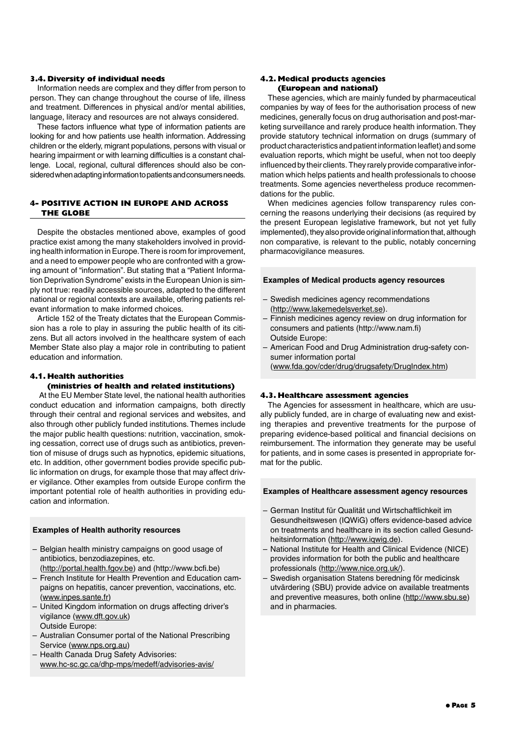#### **3.4. Diversity of individual needs**

Information needs are complex and they differ from person to person. They can change throughout the course of life, illness and treatment. Differences in physical and/or mental abilities, language, literacy and resources are not always considered.

These factors influence what type of information patients are looking for and how patients use health information. Addressing children or the elderly, migrant populations, persons with visual or hearing impairment or with learning difficulties is a constant challenge. Local, regional, cultural differences should also be considered when adapting information to patients and consumers needs.

#### **4- POSITIVE ACTION IN EUROPE AND ACROSS THE GLOBE**

Despite the obstacles mentioned above, examples of good practice exist among the many stakeholders involved in providing health information in Europe.There is room for improvement, and a need to empower people who are confronted with a growing amount of "information". But stating that a "Patient Information Deprivation Syndrome" exists in the European Union is simply not true: readily accessible sources, adapted to the different national or regional contexts are available, offering patients relevant information to make informed choices.

Article 152 of the Treaty dictates that the European Commission has a role to play in assuring the public health of its citizens. But all actors involved in the healthcare system of each Member State also play a major role in contributing to patient education and information.

#### **4.1. Health authorities**

#### **(ministries of health and related institutions)**

At the EU Member State level, the national health authorities conduct education and information campaigns, both directly through their central and regional services and websites, and also through other publicly funded institutions. Themes include the major public health questions: nutrition, vaccination, smoking cessation, correct use of drugs such as antibiotics, prevention of misuse of drugs such as hypnotics, epidemic situations, etc. In addition, other government bodies provide specific public information on drugs, for example those that may affect driver vigilance. Other examples from outside Europe confirm the important potential role of health authorities in providing education and information.

#### **Examples of Health authority resources**

- Belgian health ministry campaigns on good usage of antibiotics, benzodiazepines, etc.
- (http://portal.health.fgov.be) and (http://www.bcfi.be)
- French Institute for Health Prevention and Education campaigns on hepatitis, cancer prevention, vaccinations, etc. (www.inpes.sante.fr)
- United Kingdom information on drugs affecting driver's vigilance (www.dft.gov.uk) Outside Europe:
- Australian Consumer portal of the National Prescribing Service (www.nps.org.au)
- Health Canada Drug Safety Advisories: www.hc-sc.gc.ca/dhp-mps/medeff/advisories-avis/

#### **4.2. Medical products agencies (European and national)**

These agencies, which are mainly funded by pharmaceutical companies by way of fees for the authorisation process of new medicines, generally focus on drug authorisation and post-marketing surveillance and rarely produce health information.They provide statutory technical information on drugs (summary of product characteristics and patient information leaflet) and some evaluation reports, which might be useful, when not too deeply influenced by their clients. They rarely provide comparative information which helps patients and health professionals to choose treatments. Some agencies nevertheless produce recommendations for the public.

When medicines agencies follow transparency rules concerning the reasons underlying their decisions (as required by the present European legislative framework, but not yet fully implemented), they also provide original information that, although non comparative, is relevant to the public, notably concerning pharmacovigilance measures.

#### **Examples of Medical products agency resources**

- Swedish medicines agency recommendations (http://www.lakemedelsverket.se).
- Finnish medicines agency review on drug information for consumers and patients (http://www.nam.fi) Outside Europe:
- American Food and Drug Administration drug-safety consumer information portal (www.fda.gov/cder/drug/drugsafety/DrugIndex.htm)

#### **4.3. Healthcare assessment agencies**

The Agencies for assessment in healthcare, which are usually publicly funded, are in charge of evaluating new and existing therapies and preventive treatments for the purpose of preparing evidence-based political and financial decisions on reimbursement. The information they generate may be useful for patients, and in some cases is presented in appropriate format for the public.

#### **Examples of Healthcare assessment agency resources**

- German Institut für Qualität und Wirtschaftlichkeit im Gesundheitswesen (IQWiG) offers evidence-based advice on treatments and healthcare in its section called Gesundheitsinformation (http://www.iqwig.de).
- National Institute for Health and Clinical Evidence (NICE) provides information for both the public and healthcare professionals (http://www.nice.org.uk/).
- Swedish organisation Statens beredning för medicinsk utvärdering (SBU) provide advice on available treatments and preventive measures, both online (http://www.sbu.se) and in pharmacies.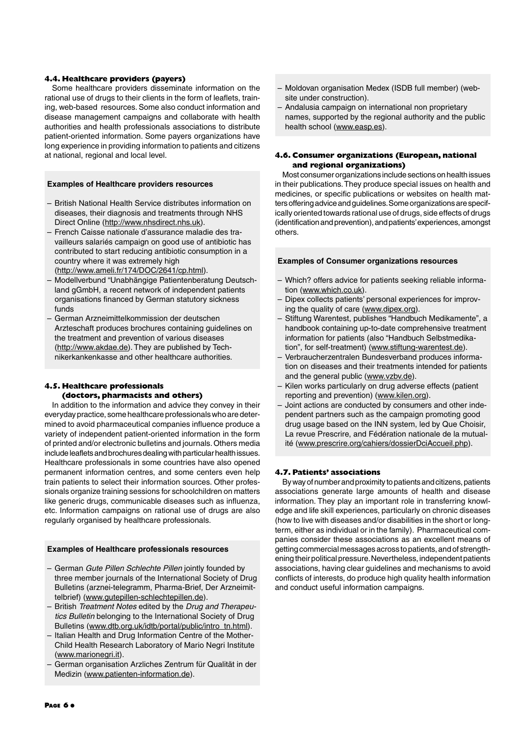#### **4.4. Healthcare providers (payers)**

Some healthcare providers disseminate information on the rational use of drugs to their clients in the form of leaflets, training, web-based resources. Some also conduct information and disease management campaigns and collaborate with health authorities and health professionals associations to distribute patient-oriented information. Some payers organizations have long experience in providing information to patients and citizens at national, regional and local level.

#### **Examples of Healthcare providers resources**

- British National Health Service distributes information on diseases, their diagnosis and treatments through NHS Direct Online (http://www.nhsdirect.nhs.uk).
- French Caisse nationale d'assurance maladie des travailleurs salariés campaign on good use of antibiotic has contributed to start reducing antibiotic consumption in a country where it was extremely high (http://www.ameli.fr/174/DOC/2641/cp.html).
- Modellverbund "Unabhängige Patientenberatung Deutschland gGmbH, a recent network of independent patients organisations financed by German statutory sickness funds
- German Arzneimittelkommission der deutschen Arzteschaft produces brochures containing guidelines on the treatment and prevention of various diseases (http://www.akdae.de). They are published by Technikerkankenkasse and other healthcare authorities.

#### **4.5. Healthcare professionals (doctors, pharmacists and others)**

In addition to the information and advice they convey in their everyday practice, some healthcare professionals who are determined to avoid pharmaceutical companies influence produce a variety of independent patient-oriented information in the form of printed and/or electronic bulletins and journals. Others media include leaflets and brochures dealing with particular health issues. Healthcare professionals in some countries have also opened permanent information centres, and some centers even help train patients to select their information sources. Other professionals organize training sessions for schoolchildren on matters like generic drugs, communicable diseases such as influenza, etc. Information campaigns on rational use of drugs are also regularly organised by healthcare professionals.

#### **Examples of Healthcare professionals resources**

- German *Gute Pillen Schlechte Pillen* jointly founded by three member journals of the International Society of Drug Bulletins (arznei-telegramm, Pharma-Brief, Der Arzneimittelbrief) (www.gutepillen-schlechtepillen.de).
- British *Treatment Notes* edited by the *Drug and Therapeutics Bulletin* belonging to the International Society of Drug Bulletins (www.dtb.org.uk/idtb/portal/public/intro\_tn.html).
- Italian Health and Drug Information Centre of the Mother-Child Health Research Laboratory of Mario Negri Institute (www.marionegri.it).
- German organisation Arzliches Zentrum für Qualität in der Medizin (www.patienten-information.de).
- Moldovan organisation Medex (ISDB full member) (website under construction).
- Andalusia campaign on international non proprietary names, supported by the regional authority and the public health school (www.easp.es).

#### **4.6. Consumer organizations (European, national and regional organizations)**

Most consumer organizations include sections on health issues in their publications.They produce special issues on health and medicines, or specific publications or websites on health matters offering advice and guidelines.Some organizations are specifically oriented towards rational use of drugs, side effects of drugs (identification and prevention), and patients'experiences, amongst others.

#### **Examples of Consumer organizations resources**

- Which? offers advice for patients seeking reliable information (www.which.co.uk).
- Dipex collects patients' personal experiences for improving the quality of care (www.dipex.org).
- Stiftung Warentest, publishes "Handbuch Medikamente", a handbook containing up-to-date comprehensive treatment information for patients (also "Handbuch Selbstmedikation", for self-treatment) (www.stiftung-warentest.de).
- Verbraucherzentralen Bundesverband produces information on diseases and their treatments intended for patients and the general public (www.vzbv.de).
- Kilen works particularly on drug adverse effects (patient reporting and prevention) (www.kilen.org).
- Joint actions are conducted by consumers and other independent partners such as the campaign promoting good drug usage based on the INN system, led by Que Choisir, La revue Prescrire, and Fédération nationale de la mutualité (www.prescrire.org/cahiers/dossierDciAccueil.php).

#### **4.7. Patients' associations**

By way of number and proximity to patients and citizens, patients associations generate large amounts of health and disease information. They play an important role in transferring knowledge and life skill experiences, particularly on chronic diseases (how to live with diseases and/or disabilities in the short or longterm, either as individual or in the family). Pharmaceutical companies consider these associations as an excellent means of getting commercial messages across to patients, and of strengthening their political pressure.Nevertheless, independent patients associations, having clear guidelines and mechanisms to avoid conflicts of interests, do produce high quality health information and conduct useful information campaigns.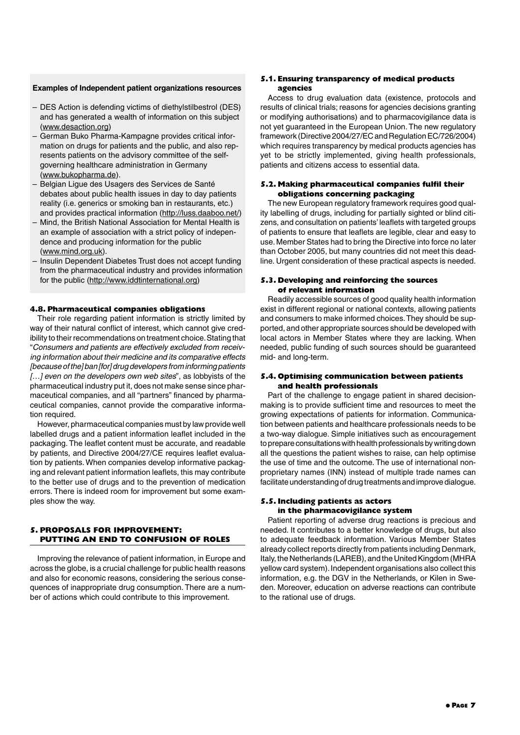#### **Examples of Independent patient organizations resources**

- DES Action is defending victims of diethylstilbestrol (DES) and has generated a wealth of information on this subject (www.desaction.org)
- German Buko Pharma-Kampagne provides critical information on drugs for patients and the public, and also represents patients on the advisory committee of the selfgoverning healthcare administration in Germany (www.bukopharma.de).
- Belgian Ligue des Usagers des Services de Santé debates about public health issues in day to day patients reality (i.e. generics or smoking ban in restaurants, etc.) and provides practical information (http://luss.daaboo.net/)
- Mind, the British National Association for Mental Health is an example of association with a strict policy of independence and producing information for the public (www.mind.org.uk).
- Insulin Dependent Diabetes Trust does not accept funding from the pharmaceutical industry and provides information for the public (http://www.iddtinternational.org)

#### **4.8. Pharmaceutical companies obligations**

Their role regarding patient information is strictly limited by way of their natural conflict of interest, which cannot give credibility to their recommendations on treatment choice. Stating that "*Consumers and patients are effectively excluded from receiving information about their medicine and its comparative effects [because of the] ban[for] drug developers from informing patients […] even on the developers own web sites*", as lobbyists of the pharmaceutical industry put it, does not make sense since pharmaceutical companies, and all "partners" financed by pharmaceutical companies, cannot provide the comparative information required.

However, pharmaceutical companies must by law provide well labelled drugs and a patient information leaflet included in the packaging. The leaflet content must be accurate, and readable by patients, and Directive 2004/27/CE requires leaflet evaluation by patients. When companies develop informative packaging and relevant patient information leaflets, this may contribute to the better use of drugs and to the prevention of medication errors. There is indeed room for improvement but some examples show the way.

#### **5. PROPOSALS FOR IMPROVEMENT: PUTTING AN END TO CONFUSION OF ROLES**

Improving the relevance of patient information, in Europe and across the globe, is a crucial challenge for public health reasons and also for economic reasons, considering the serious consequences of inappropriate drug consumption. There are a number of actions which could contribute to this improvement.

#### **5.1. Ensuring transparency of medical products agencies**

Access to drug evaluation data (existence, protocols and results of clinical trials; reasons for agencies decisions granting or modifying authorisations) and to pharmacovigilance data is not yet guaranteed in the European Union. The new regulatory framework (Directive 2004/27/EC and Regulation EC/726/2004) which requires transparency by medical products agencies has yet to be strictly implemented, giving health professionals, patients and citizens access to essential data.

#### **5.2. Making pharmaceutical companies fulfil their obligations concerning packaging**

The new European regulatory framework requires good quality labelling of drugs, including for partially sighted or blind citizens, and consultation on patients' leaflets with targeted groups of patients to ensure that leaflets are legible, clear and easy to use. Member States had to bring the Directive into force no later than October 2005, but many countries did not meet this deadline. Urgent consideration of these practical aspects is needed.

#### **5.3. Developing and reinforcing the sources of relevant information**

Readily accessible sources of good quality health information exist in different regional or national contexts, allowing patients and consumers to make informed choices.They should be supported, and other appropriate sources should be developed with local actors in Member States where they are lacking. When needed, public funding of such sources should be guaranteed mid- and long-term.

#### **5.4. Optimising communication between patients and health professionals**

Part of the challenge to engage patient in shared decisionmaking is to provide sufficient time and resources to meet the growing expectations of patients for information. Communication between patients and healthcare professionals needs to be a two-way dialogue. Simple initiatives such as encouragement to prepare consultations with health professionals by writing down all the questions the patient wishes to raise, can help optimise the use of time and the outcome. The use of international nonproprietary names (INN) instead of multiple trade names can facilitate understanding of drug treatments and improve dialogue.

#### **5.5. Including patients as actors in the pharmacovigilance system**

Patient reporting of adverse drug reactions is precious and needed. It contributes to a better knowledge of drugs, but also to adequate feedback information. Various Member States already collect reports directly from patients including Denmark, Italy, the Netherlands (LAREB), and the United Kingdom (MHRA yellow card system). Independent organisations also collect this information, e.g. the DGV in the Netherlands, or Kilen in Sweden. Moreover, education on adverse reactions can contribute to the rational use of drugs.